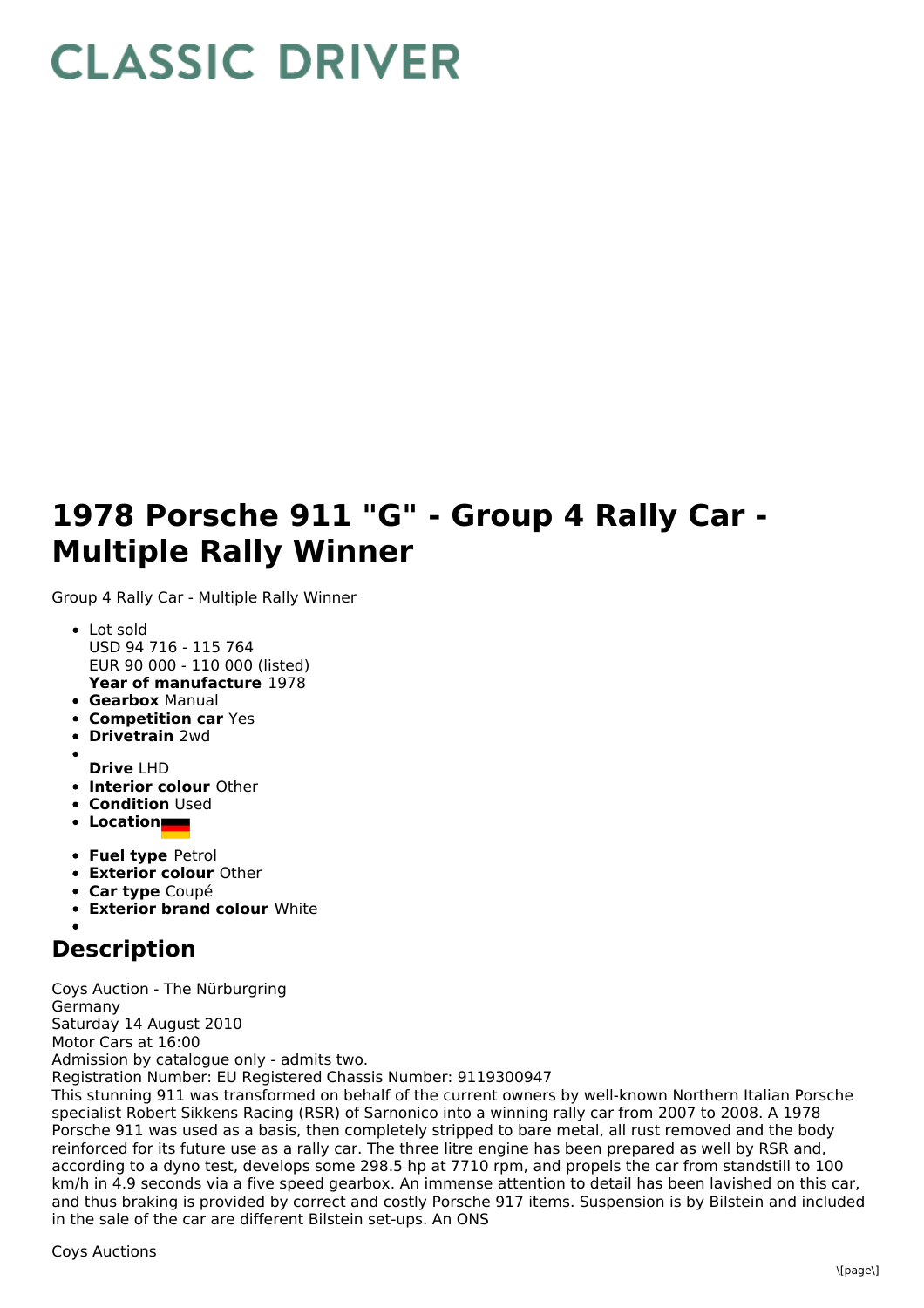## **CLASSIC DRIVER**

## **1978 Porsche 911 "G" - Group 4 Rally Car - Multiple Rally Winner**

Group 4 Rally Car - Multiple Rally Winner

- **Year of manufacture** 1978 • Lot sold USD 94 716 - 115 764 EUR 90 000 - 110 000 (listed)
- **Gearbox** Manual
- **Competition car** Yes
- **Drivetrain** 2wd
- 
- **Drive** LHD
- **Interior colour** Other
- **Condition** Used
- **Location**
- **Fuel type** Petrol
- **Exterior colour** Other
- **Car type** Coupé
- **Exterior brand colour** White

## **Description**

Coys Auction - The Nürburgring Germany Saturday 14 August 2010 Motor Cars at 16:00 Admission by catalogue only - admits two. Registration Number: EU Registered Chassis Number: 9119300947

This stunning 911 was transformed on behalf of the current owners by well-known Northern Italian Porsche specialist Robert Sikkens Racing (RSR) of Sarnonico into a winning rally car from 2007 to 2008. A 1978 Porsche 911 was used as a basis, then completely stripped to bare metal, all rust removed and the body reinforced for its future use as a rally car. The three litre engine has been prepared as well by RSR and, according to a dyno test, develops some 298.5 hp at 7710 rpm, and propels the car from standstill to 100 km/h in 4.9 seconds via a five speed gearbox. An immense attention to detail has been lavished on this car, and thus braking is provided by correct and costly Porsche 917 items. Suspension is by Bilstein and included in the sale of the car are different Bilstein set-ups. An ONS